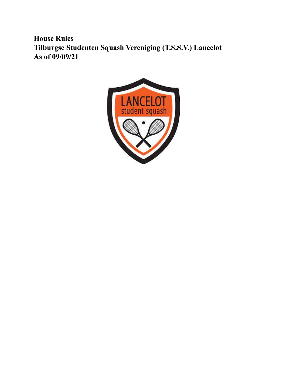**House Rules Tilburgse Studenten Squash Vereniging (T.S.S.V.) Lancelot As of 09/09/21**

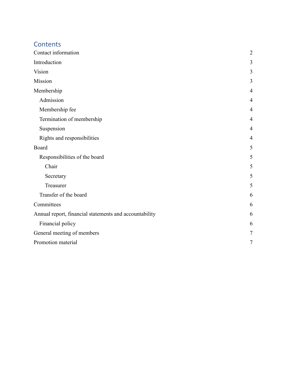# **Contents**

<span id="page-1-0"></span>

| Contact information                                    | $\overline{2}$ |
|--------------------------------------------------------|----------------|
| Introduction                                           | 3              |
| Vision                                                 | 3              |
| Mission                                                | 3              |
| Membership                                             | 4              |
| Admission                                              | $\overline{4}$ |
| Membership fee                                         | $\overline{4}$ |
| Termination of membership                              | $\overline{4}$ |
| Suspension                                             | $\overline{4}$ |
| Rights and responsibilities                            | $\overline{4}$ |
| Board                                                  | 5              |
| Responsibilities of the board                          | 5              |
| Chair                                                  | 5              |
| Secretary                                              | 5              |
| Treasurer                                              | 5              |
| Transfer of the board                                  | 6              |
| Committees                                             | 6              |
| Annual report, financial statements and accountability | 6              |
| Financial policy                                       | 6              |
| General meeting of members                             | $\tau$         |
| Promotion material                                     | $\tau$         |
|                                                        |                |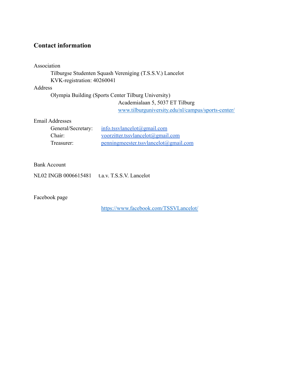# **Contact information**

Association

### Tilburgse Studenten Squash Vereniging (T.S.S.V.) Lancelot KVK-registration: 40260041

Address

Olympia Building (Sports Center Tilburg University)

Academialaan 5, 5037 ET Tilburg

[www.tilburguniversity.edu/nl/campus/sports-center/](http://www.tilburguniversity.edu/nl/campus/sports-center/)

Email Addresses

| General/Secretary: | info.tssvlancelot $(\partial \text{gmail.com})$ |
|--------------------|-------------------------------------------------|
| Chair <sup>-</sup> | voorzitter.tssvlancelot@gmail.com               |
| Treasurer:         | penningmeester.tssvlancelot@gmail.com           |

### Bank Account

NL02 INGB 0006615481 t.a.v. T.S.S.V. Lancelot

Facebook page

<https://www.facebook.com/TSSVLancelot/>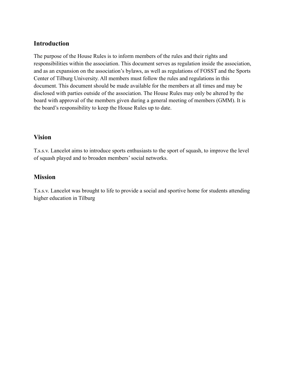## **Introduction**

The purpose of the House Rules is to inform members of the rules and their rights and responsibilities within the association. This document serves as regulation inside the association, and as an expansion on the association's bylaws, as well as regulations of FOSST and the Sports Center of Tilburg University. All members must follow the rules and regulations in this document. This document should be made available for the members at all times and may be disclosed with parties outside of the association. The House Rules may only be altered by the board with approval of the members given during a general meeting of members (GMM). It is the board's responsibility to keep the House Rules up to date.

### <span id="page-3-0"></span>**Vision**

T.s.s.v. Lancelot aims to introduce sports enthusiasts to the sport of squash, to improve the level of squash played and to broaden members' social networks.

## <span id="page-3-1"></span>**Mission**

T.s.s.v. Lancelot was brought to life to provide a social and sportive home for students attending higher education in Tilburg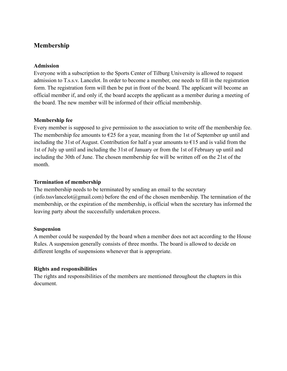## <span id="page-4-0"></span>**Membership**

#### **Admission**

Everyone with a subscription to the Sports Center of Tilburg University is allowed to request admission to T.s.s.v. Lancelot. In order to become a member, one needs to fill in the registration form. The registration form will then be put in front of the board. The applicant will become an official member if, and only if, the board accepts the applicant as a member during a meeting of the board. The new member will be informed of their official membership.

#### <span id="page-4-1"></span>**Membership fee**

Every member is supposed to give permission to the association to write off the membership fee. The membership fee amounts to  $\epsilon$ 25 for a year, meaning from the 1st of September up until and including the 31st of August. Contribution for half a year amounts to  $\epsilon$ 15 and is valid from the 1st of July up until and including the 31st of January or from the 1st of February up until and including the 30th of June. The chosen membership fee will be written off on the 21st of the month.

#### <span id="page-4-2"></span>**Termination of membership**

The membership needs to be terminated by sending an email to the secretary  $(info.tssvlancelot@gmail.com)$  $(info.tssvlancelot@gmail.com)$  $(info.tssvlancelot@gmail.com)$  before the end of the chosen membership. The termination of the membership, or the expiration of the membership, is official when the secretary has informed the leaving party about the successfully undertaken process.

#### <span id="page-4-3"></span>**Suspension**

<span id="page-4-4"></span>A member could be suspended by the board when a member does not act according to the House Rules. A suspension generally consists of three months. The board is allowed to decide on different lengths of suspensions whenever that is appropriate.

### **Rights and responsibilities**

<span id="page-4-5"></span>The rights and responsibilities of the members are mentioned throughout the chapters in this document.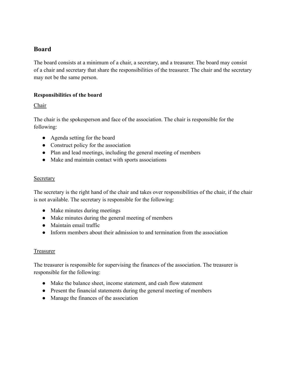## <span id="page-5-0"></span>**Board**

The board consists at a minimum of a chair, a secretary, and a treasurer. The board may consist of a chair and secretary that share the responsibilities of the treasurer. The chair and the secretary may not be the same person.

### <span id="page-5-1"></span>**Responsibilities of the board**

### <span id="page-5-2"></span>**Chair**

The chair is the spokesperson and face of the association. The chair is responsible for the following:

- Agenda setting for the board
- Construct policy for the association
- Plan and lead meetings, including the general meeting of members
- Make and maintain contact with sports associations

#### <span id="page-5-3"></span>**Secretary**

The secretary is the right hand of the chair and takes over responsibilities of the chair, if the chair is not available. The secretary is responsible for the following:

- Make minutes during meetings
- Make minutes during the general meeting of members
- Maintain email traffic
- Inform members about their admission to and termination from the association

### <span id="page-5-4"></span>Treasurer

The treasurer is responsible for supervising the finances of the association. The treasurer is responsible for the following:

- Make the balance sheet, income statement, and cash flow statement
- Present the financial statements during the general meeting of members
- <span id="page-5-5"></span>● Manage the finances of the association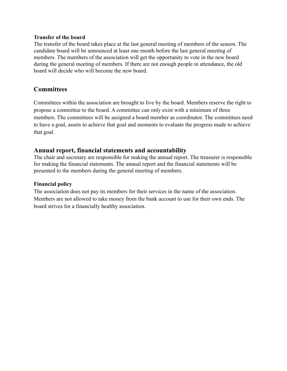#### **Transfer of the board**

The transfer of the board takes place at the last general meeting of members of the season. The candidate board will be announced at least one month before the last general meeting of members. The members of the association will get the opportunity to vote in the new board during the general meeting of members. If there are not enough people in attendance, the old board will decide who will become the new board.

### <span id="page-6-0"></span>**Committees**

Committees within the association are brought to live by the board. Members reserve the right to propose a committee to the board. A committee can only exist with a minimum of three members. The committees will be assigned a board member as coordinator. The committees need to have a goal, assets to achieve that goal and moments to evaluate the progress made to achieve that goal.

### **Annual report, financial statements and accountability**

<span id="page-6-1"></span>The chair and secretary are responsible for making the annual report. The treasurer is responsible for making the financial statements. The annual report and the financial statements will be presented to the members during the general meeting of members.

### **Financial policy**

<span id="page-6-2"></span>The association does not pay its members for their services in the name of the association. Members are not allowed to take money from the bank account to use for their own ends. The board strives for a financially healthy association.